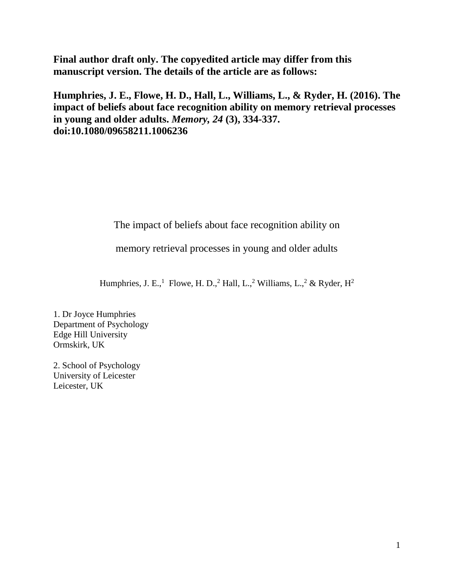**Final author draft only. The copyedited article may differ from this manuscript version. The details of the article are as follows:** 

**Humphries, J. E., Flowe, H. D., Hall, L., Williams, L., & Ryder, H. (2016). The impact of beliefs about face recognition ability on memory retrieval processes in young and older adults.** *Memory, 24* **(3), 334-337. doi:10.1080/09658211.1006236**

The impact of beliefs about face recognition ability on

memory retrieval processes in young and older adults

Humphries, J. E.,<sup>1</sup> Flowe, H. D.,<sup>2</sup> Hall, L.,<sup>2</sup> Williams, L.,<sup>2</sup> & Ryder, H<sup>2</sup>

1. Dr Joyce Humphries Department of Psychology Edge Hill University Ormskirk, UK

2. School of Psychology University of Leicester Leicester, UK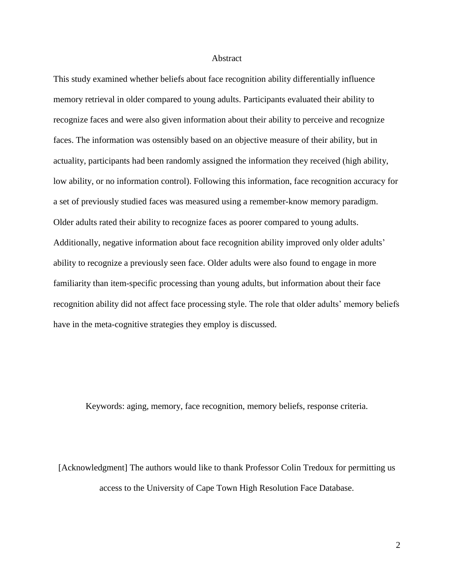#### Abstract

This study examined whether beliefs about face recognition ability differentially influence memory retrieval in older compared to young adults. Participants evaluated their ability to recognize faces and were also given information about their ability to perceive and recognize faces. The information was ostensibly based on an objective measure of their ability, but in actuality, participants had been randomly assigned the information they received (high ability, low ability, or no information control). Following this information, face recognition accuracy for a set of previously studied faces was measured using a remember-know memory paradigm. Older adults rated their ability to recognize faces as poorer compared to young adults. Additionally, negative information about face recognition ability improved only older adults' ability to recognize a previously seen face. Older adults were also found to engage in more familiarity than item-specific processing than young adults, but information about their face recognition ability did not affect face processing style. The role that older adults' memory beliefs have in the meta-cognitive strategies they employ is discussed.

Keywords: aging, memory, face recognition, memory beliefs, response criteria.

[Acknowledgment] The authors would like to thank Professor Colin Tredoux for permitting us access to the University of Cape Town High Resolution Face Database.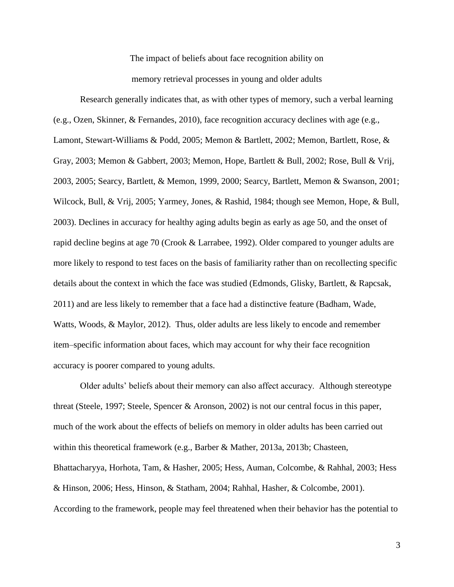The impact of beliefs about face recognition ability on memory retrieval processes in young and older adults

Research generally indicates that, as with other types of memory, such a verbal learning (e.g., Ozen, Skinner, & Fernandes, 2010), face recognition accuracy declines with age (e.g., Lamont, Stewart-Williams & Podd, 2005; Memon & Bartlett, 2002; Memon, Bartlett, Rose, & Gray, 2003; Memon & Gabbert, 2003; Memon, Hope, Bartlett & Bull, 2002; Rose, Bull & Vrij, 2003, 2005; Searcy, Bartlett, & Memon, 1999, 2000; Searcy, Bartlett, Memon & Swanson, 2001; Wilcock, Bull, & Vrij, 2005; Yarmey, Jones, & Rashid, 1984; though see Memon, Hope, & Bull, 2003). Declines in accuracy for healthy aging adults begin as early as age 50, and the onset of rapid decline begins at age 70 (Crook & Larrabee, 1992). Older compared to younger adults are more likely to respond to test faces on the basis of familiarity rather than on recollecting specific details about the context in which the face was studied (Edmonds, Glisky, Bartlett, & Rapcsak, 2011) and are less likely to remember that a face had a distinctive feature (Badham, Wade, Watts, Woods, & Maylor, 2012). Thus, older adults are less likely to encode and remember item–specific information about faces, which may account for why their face recognition accuracy is poorer compared to young adults.

Older adults' beliefs about their memory can also affect accuracy. Although stereotype threat (Steele, 1997; Steele, Spencer & Aronson, 2002) is not our central focus in this paper, much of the work about the effects of beliefs on memory in older adults has been carried out within this theoretical framework (e.g., Barber & Mather, 2013a, 2013b; Chasteen, Bhattacharyya, Horhota, Tam, & Hasher, 2005; Hess, Auman, Colcombe, & Rahhal, 2003; Hess & Hinson, 2006; Hess, Hinson, & Statham, 2004; Rahhal, Hasher, & Colcombe, 2001). According to the framework, people may feel threatened when their behavior has the potential to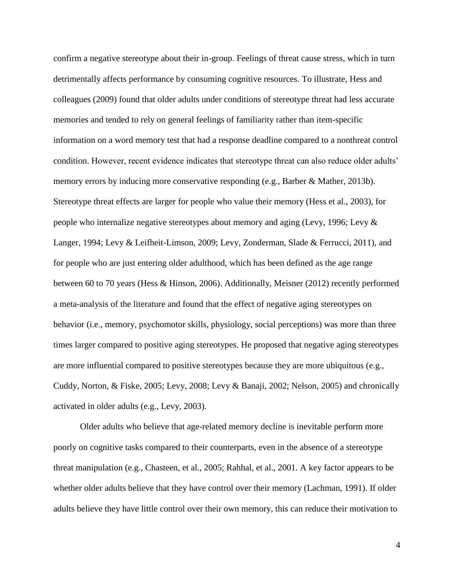confirm a negative stereotype about their in-group. Feelings of threat cause stress, which in turn detrimentally affects performance by consuming cognitive resources. To illustrate, Hess and colleagues (2009) found that older adults under conditions of stereotype threat had less accurate memories and tended to rely on general feelings of familiarity rather than item-specific information on a word memory test that had a response deadline compared to a nonthreat control condition. However, recent evidence indicates that stereotype threat can also reduce older adults' memory errors by inducing more conservative responding (e.g., Barber & Mather, 2013b). Stereotype threat effects are larger for people who value their memory (Hess et al., 2003), for people who internalize negative stereotypes about memory and aging (Levy, 1996; Levy & Langer, 1994; Levy & Leifheit-Limson, 2009; Levy, Zonderman, Slade & Ferrucci, 2011), and for people who are just entering older adulthood, which has been defined as the age range between 60 to 70 years (Hess & Hinson, 2006). Additionally, Meisner (2012) recently performed a meta-analysis of the literature and found that the effect of negative aging stereotypes on behavior (i.e., memory, psychomotor skills, physiology, social perceptions) was more than three times larger compared to positive aging stereotypes. He proposed that negative aging stereotypes are more influential compared to positive stereotypes because they are more ubiquitous (e.g., Cuddy, Norton, & Fiske, 2005; Levy, 2008; Levy & Banaji, 2002; Nelson, 2005) and chronically activated in older adults (e.g., Levy, 2003).

Older adults who believe that age-related memory decline is inevitable perform more poorly on cognitive tasks compared to their counterparts, even in the absence of a stereotype threat manipulation (e.g., Chasteen, et al., 2005; Rahhal, et al., 2001. A key factor appears to be whether older adults believe that they have control over their memory (Lachman, 1991). If older adults believe they have little control over their own memory, this can reduce their motivation to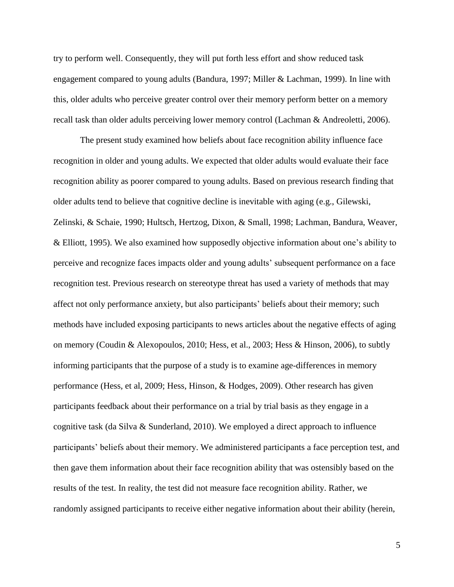try to perform well. Consequently, they will put forth less effort and show reduced task engagement compared to young adults (Bandura, 1997; Miller & Lachman, 1999). In line with this, older adults who perceive greater control over their memory perform better on a memory recall task than older adults perceiving lower memory control (Lachman & Andreoletti, 2006).

The present study examined how beliefs about face recognition ability influence face recognition in older and young adults. We expected that older adults would evaluate their face recognition ability as poorer compared to young adults. Based on previous research finding that older adults tend to believe that cognitive decline is inevitable with aging (e.g., Gilewski, Zelinski, & Schaie, 1990; Hultsch, Hertzog, Dixon, & Small, 1998; Lachman, Bandura, Weaver, & Elliott, 1995). We also examined how supposedly objective information about one's ability to perceive and recognize faces impacts older and young adults' subsequent performance on a face recognition test. Previous research on stereotype threat has used a variety of methods that may affect not only performance anxiety, but also participants' beliefs about their memory; such methods have included exposing participants to news articles about the negative effects of aging on memory (Coudin & Alexopoulos, 2010; Hess, et al., 2003; Hess & Hinson, 2006), to subtly informing participants that the purpose of a study is to examine age-differences in memory performance (Hess, et al, 2009; Hess, Hinson, & Hodges, 2009). Other research has given participants feedback about their performance on a trial by trial basis as they engage in a cognitive task (da Silva & Sunderland, 2010). We employed a direct approach to influence participants' beliefs about their memory. We administered participants a face perception test, and then gave them information about their face recognition ability that was ostensibly based on the results of the test. In reality, the test did not measure face recognition ability. Rather, we randomly assigned participants to receive either negative information about their ability (herein,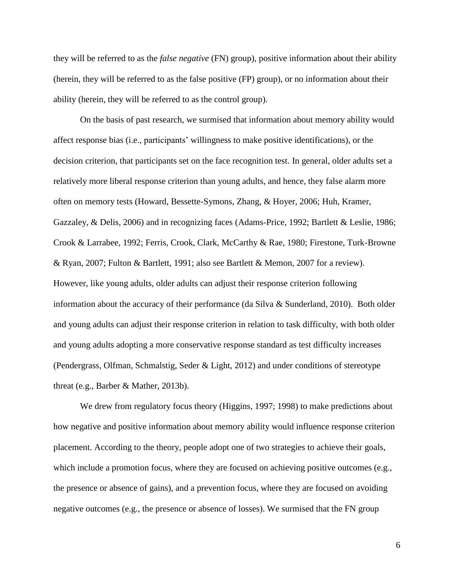they will be referred to as the *false negative* (FN) group), positive information about their ability (herein, they will be referred to as the false positive (FP) group), or no information about their ability (herein, they will be referred to as the control group).

On the basis of past research, we surmised that information about memory ability would affect response bias (i.e., participants' willingness to make positive identifications), or the decision criterion, that participants set on the face recognition test. In general, older adults set a relatively more liberal response criterion than young adults, and hence, they false alarm more often on memory tests (Howard, Bessette-Symons, Zhang, & Hoyer, 2006; Huh, Kramer, Gazzaley, & Delis, 2006) and in recognizing faces (Adams-Price, 1992; Bartlett & Leslie, 1986; Crook & Larrabee, 1992; Ferris, Crook, Clark, McCarthy & Rae, 1980; Firestone, Turk-Browne & Ryan, 2007; Fulton & Bartlett, 1991; also see Bartlett & Memon, 2007 for a review). However, like young adults, older adults can adjust their response criterion following information about the accuracy of their performance (da Silva & Sunderland, 2010). Both older and young adults can adjust their response criterion in relation to task difficulty, with both older and young adults adopting a more conservative response standard as test difficulty increases (Pendergrass, Olfman, Schmalstig, Seder & Light, 2012) and under conditions of stereotype threat (e.g., Barber & Mather, 2013b).

We drew from regulatory focus theory (Higgins, 1997; 1998) to make predictions about how negative and positive information about memory ability would influence response criterion placement. According to the theory, people adopt one of two strategies to achieve their goals, which include a promotion focus, where they are focused on achieving positive outcomes (e.g., the presence or absence of gains), and a prevention focus, where they are focused on avoiding negative outcomes (e.g., the presence or absence of losses). We surmised that the FN group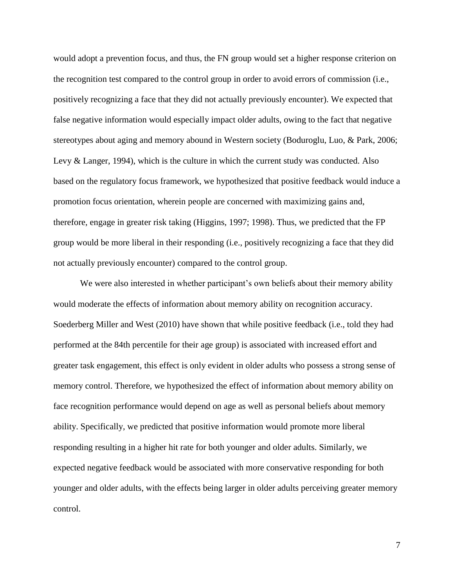would adopt a prevention focus, and thus, the FN group would set a higher response criterion on the recognition test compared to the control group in order to avoid errors of commission (i.e., positively recognizing a face that they did not actually previously encounter). We expected that false negative information would especially impact older adults, owing to the fact that negative stereotypes about aging and memory abound in Western society (Boduroglu, Luo, & Park, 2006; Levy & Langer, 1994), which is the culture in which the current study was conducted. Also based on the regulatory focus framework, we hypothesized that positive feedback would induce a promotion focus orientation, wherein people are concerned with maximizing gains and, therefore, engage in greater risk taking (Higgins, 1997; 1998). Thus, we predicted that the FP group would be more liberal in their responding (i.e., positively recognizing a face that they did not actually previously encounter) compared to the control group.

We were also interested in whether participant's own beliefs about their memory ability would moderate the effects of information about memory ability on recognition accuracy. Soederberg Miller and West (2010) have shown that while positive feedback (i.e., told they had performed at the 84th percentile for their age group) is associated with increased effort and greater task engagement, this effect is only evident in older adults who possess a strong sense of memory control. Therefore, we hypothesized the effect of information about memory ability on face recognition performance would depend on age as well as personal beliefs about memory ability. Specifically, we predicted that positive information would promote more liberal responding resulting in a higher hit rate for both younger and older adults. Similarly, we expected negative feedback would be associated with more conservative responding for both younger and older adults, with the effects being larger in older adults perceiving greater memory control.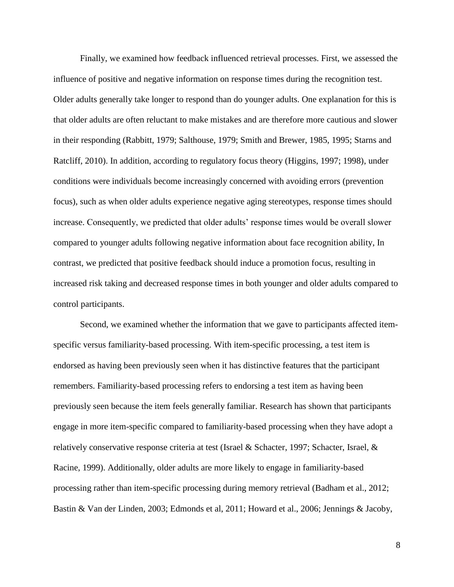Finally, we examined how feedback influenced retrieval processes. First, we assessed the influence of positive and negative information on response times during the recognition test. Older adults generally take longer to respond than do younger adults. One explanation for this is that older adults are often reluctant to make mistakes and are therefore more cautious and slower in their responding (Rabbitt, 1979; Salthouse, 1979; Smith and Brewer, 1985, 1995; Starns and Ratcliff, 2010). In addition, according to regulatory focus theory (Higgins, 1997; 1998), under conditions were individuals become increasingly concerned with avoiding errors (prevention focus), such as when older adults experience negative aging stereotypes, response times should increase. Consequently, we predicted that older adults' response times would be overall slower compared to younger adults following negative information about face recognition ability, In contrast, we predicted that positive feedback should induce a promotion focus, resulting in increased risk taking and decreased response times in both younger and older adults compared to control participants.

Second, we examined whether the information that we gave to participants affected itemspecific versus familiarity-based processing. With item-specific processing, a test item is endorsed as having been previously seen when it has distinctive features that the participant remembers. Familiarity-based processing refers to endorsing a test item as having been previously seen because the item feels generally familiar. Research has shown that participants engage in more item-specific compared to familiarity-based processing when they have adopt a relatively conservative response criteria at test (Israel & Schacter, 1997; Schacter, Israel, & Racine, 1999). Additionally, older adults are more likely to engage in familiarity-based processing rather than item-specific processing during memory retrieval (Badham et al., 2012; Bastin & Van der Linden, 2003; Edmonds et al, 2011; Howard et al., 2006; Jennings & Jacoby,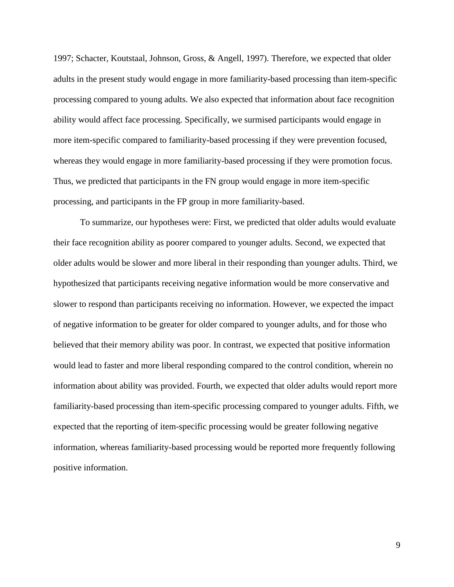1997; Schacter, Koutstaal, Johnson, Gross, & Angell, 1997). Therefore, we expected that older adults in the present study would engage in more familiarity-based processing than item-specific processing compared to young adults. We also expected that information about face recognition ability would affect face processing. Specifically, we surmised participants would engage in more item-specific compared to familiarity-based processing if they were prevention focused, whereas they would engage in more familiarity-based processing if they were promotion focus. Thus, we predicted that participants in the FN group would engage in more item-specific processing, and participants in the FP group in more familiarity-based.

To summarize, our hypotheses were: First, we predicted that older adults would evaluate their face recognition ability as poorer compared to younger adults. Second, we expected that older adults would be slower and more liberal in their responding than younger adults. Third, we hypothesized that participants receiving negative information would be more conservative and slower to respond than participants receiving no information. However, we expected the impact of negative information to be greater for older compared to younger adults, and for those who believed that their memory ability was poor. In contrast, we expected that positive information would lead to faster and more liberal responding compared to the control condition, wherein no information about ability was provided. Fourth, we expected that older adults would report more familiarity-based processing than item-specific processing compared to younger adults. Fifth, we expected that the reporting of item-specific processing would be greater following negative information, whereas familiarity-based processing would be reported more frequently following positive information.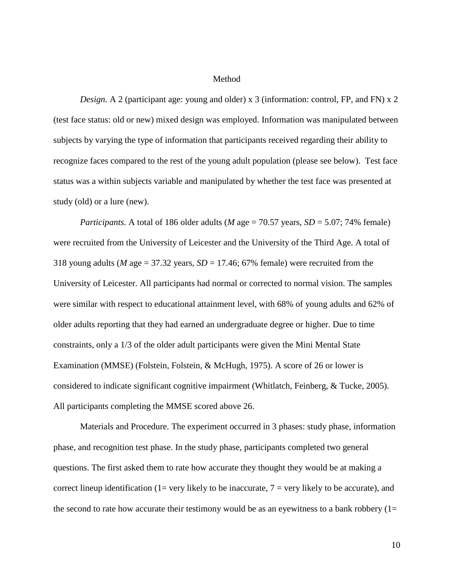# Method

*Design.* A 2 (participant age: young and older) x 3 (information: control, FP, and FN) x 2 (test face status: old or new) mixed design was employed. Information was manipulated between subjects by varying the type of information that participants received regarding their ability to recognize faces compared to the rest of the young adult population (please see below). Test face status was a within subjects variable and manipulated by whether the test face was presented at study (old) or a lure (new).

*Participants.* A total of 186 older adults (*M* age = 70.57 years,  $SD = 5.07$ ; 74% female) were recruited from the University of Leicester and the University of the Third Age. A total of 318 young adults (*M* age = 37.32 years, *SD* = 17.46; 67% female) were recruited from the University of Leicester. All participants had normal or corrected to normal vision. The samples were similar with respect to educational attainment level, with 68% of young adults and 62% of older adults reporting that they had earned an undergraduate degree or higher. Due to time constraints, only a 1/3 of the older adult participants were given the Mini Mental State Examination (MMSE) (Folstein, Folstein, & McHugh, 1975). A score of 26 or lower is considered to indicate significant cognitive impairment (Whitlatch, Feinberg, & Tucke, 2005). All participants completing the MMSE scored above 26.

Materials and Procedure. The experiment occurred in 3 phases: study phase, information phase, and recognition test phase. In the study phase, participants completed two general questions. The first asked them to rate how accurate they thought they would be at making a correct lineup identification (1= very likely to be inaccurate,  $7$  = very likely to be accurate), and the second to rate how accurate their testimony would be as an eyewitness to a bank robbery  $(1=$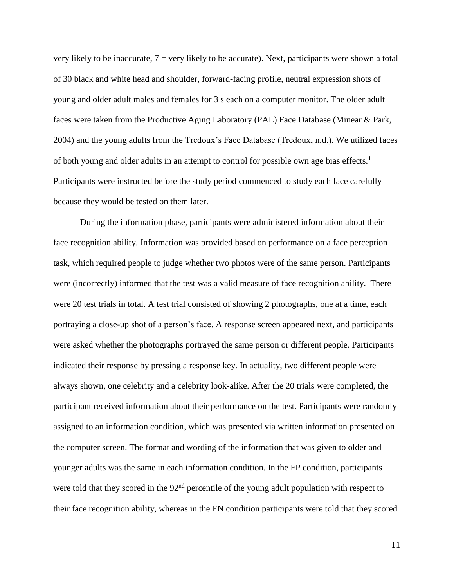very likely to be inaccurate,  $7 = \text{very likely to be accurate}$ . Next, participants were shown a total of 30 black and white head and shoulder, forward-facing profile, neutral expression shots of young and older adult males and females for 3 s each on a computer monitor. The older adult faces were taken from the Productive Aging Laboratory (PAL) Face Database (Minear & Park, 2004) and the young adults from the Tredoux's Face Database (Tredoux, n.d.). We utilized faces of both young and older adults in an attempt to control for possible own age bias effects.<sup>1</sup> Participants were instructed before the study period commenced to study each face carefully because they would be tested on them later.

During the information phase, participants were administered information about their face recognition ability. Information was provided based on performance on a face perception task, which required people to judge whether two photos were of the same person. Participants were (incorrectly) informed that the test was a valid measure of face recognition ability. There were 20 test trials in total. A test trial consisted of showing 2 photographs, one at a time, each portraying a close-up shot of a person's face. A response screen appeared next, and participants were asked whether the photographs portrayed the same person or different people. Participants indicated their response by pressing a response key. In actuality, two different people were always shown, one celebrity and a celebrity look-alike. After the 20 trials were completed, the participant received information about their performance on the test. Participants were randomly assigned to an information condition, which was presented via written information presented on the computer screen. The format and wording of the information that was given to older and younger adults was the same in each information condition. In the FP condition, participants were told that they scored in the 92<sup>nd</sup> percentile of the young adult population with respect to their face recognition ability, whereas in the FN condition participants were told that they scored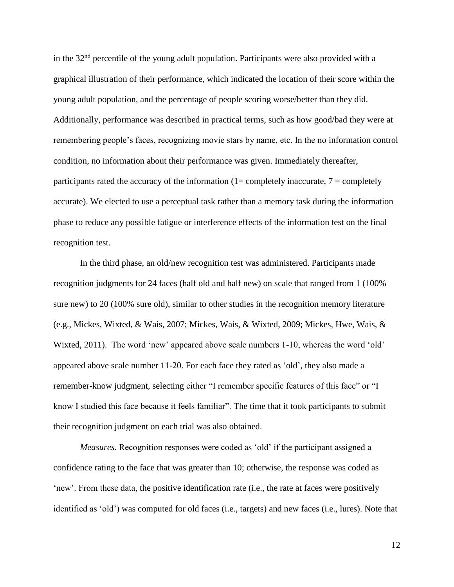in the  $32<sup>nd</sup>$  percentile of the young adult population. Participants were also provided with a graphical illustration of their performance, which indicated the location of their score within the young adult population, and the percentage of people scoring worse/better than they did. Additionally, performance was described in practical terms, such as how good/bad they were at remembering people's faces, recognizing movie stars by name, etc. In the no information control condition, no information about their performance was given. Immediately thereafter, participants rated the accuracy of the information  $(1=$  completely inaccurate,  $7=$  completely accurate). We elected to use a perceptual task rather than a memory task during the information phase to reduce any possible fatigue or interference effects of the information test on the final recognition test.

In the third phase, an old/new recognition test was administered. Participants made recognition judgments for 24 faces (half old and half new) on scale that ranged from 1 (100% sure new) to 20 (100% sure old), similar to other studies in the recognition memory literature (e.g., Mickes, Wixted, & Wais, 2007; Mickes, Wais, & Wixted, 2009; Mickes, Hwe, Wais, & Wixted, 2011). The word 'new' appeared above scale numbers 1-10, whereas the word 'old' appeared above scale number 11-20. For each face they rated as 'old', they also made a remember-know judgment, selecting either "I remember specific features of this face" or "I know I studied this face because it feels familiar". The time that it took participants to submit their recognition judgment on each trial was also obtained.

*Measures.* Recognition responses were coded as 'old' if the participant assigned a confidence rating to the face that was greater than 10; otherwise, the response was coded as 'new'. From these data, the positive identification rate (i.e., the rate at faces were positively identified as 'old') was computed for old faces (i.e., targets) and new faces (i.e., lures). Note that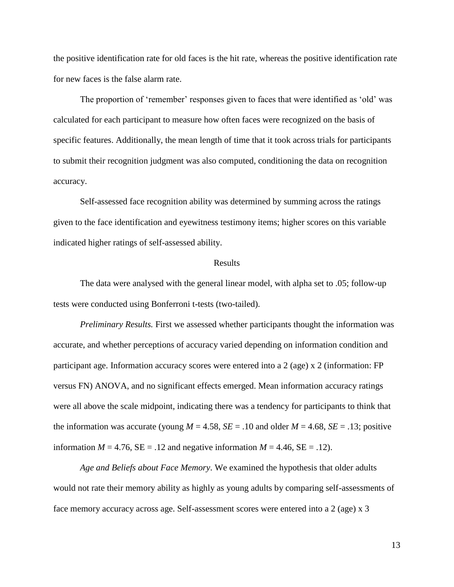the positive identification rate for old faces is the hit rate, whereas the positive identification rate for new faces is the false alarm rate.

The proportion of 'remember' responses given to faces that were identified as 'old' was calculated for each participant to measure how often faces were recognized on the basis of specific features. Additionally, the mean length of time that it took across trials for participants to submit their recognition judgment was also computed, conditioning the data on recognition accuracy.

Self-assessed face recognition ability was determined by summing across the ratings given to the face identification and eyewitness testimony items; higher scores on this variable indicated higher ratings of self-assessed ability.

# Results

The data were analysed with the general linear model, with alpha set to .05; follow-up tests were conducted using Bonferroni t-tests (two-tailed).

*Preliminary Results.* First we assessed whether participants thought the information was accurate, and whether perceptions of accuracy varied depending on information condition and participant age. Information accuracy scores were entered into a 2 (age) x 2 (information: FP versus FN) ANOVA, and no significant effects emerged. Mean information accuracy ratings were all above the scale midpoint, indicating there was a tendency for participants to think that the information was accurate (young  $M = 4.58$ ,  $SE = .10$  and older  $M = 4.68$ ,  $SE = .13$ ; positive information  $M = 4.76$ ,  $SE = .12$  and negative information  $M = 4.46$ ,  $SE = .12$ ).

*Age and Beliefs about Face Memory*. We examined the hypothesis that older adults would not rate their memory ability as highly as young adults by comparing self-assessments of face memory accuracy across age. Self-assessment scores were entered into a 2 (age) x 3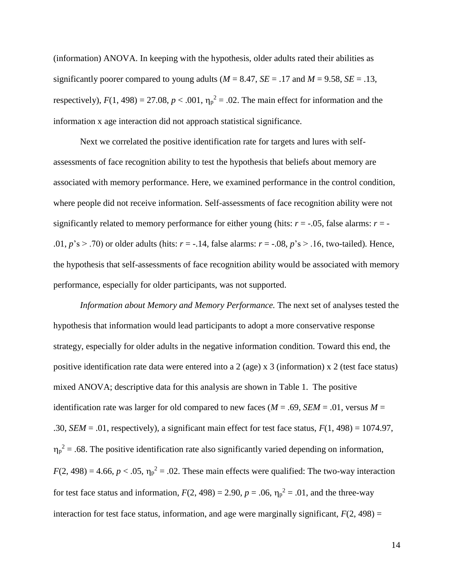(information) ANOVA. In keeping with the hypothesis, older adults rated their abilities as significantly poorer compared to young adults ( $M = 8.47$ ,  $SE = .17$  and  $M = 9.58$ ,  $SE = .13$ , respectively),  $F(1, 498) = 27.08$ ,  $p < .001$ ,  $\eta_p^2 = .02$ . The main effect for information and the information x age interaction did not approach statistical significance.

Next we correlated the positive identification rate for targets and lures with selfassessments of face recognition ability to test the hypothesis that beliefs about memory are associated with memory performance. Here, we examined performance in the control condition, where people did not receive information. Self-assessments of face recognition ability were not significantly related to memory performance for either young (hits:  $r = -0.05$ , false alarms:  $r = -1$ .01,  $p$ 's > .70) or older adults (hits:  $r = -.14$ , false alarms:  $r = -.08$ ,  $p$ 's > .16, two-tailed). Hence, the hypothesis that self-assessments of face recognition ability would be associated with memory performance, especially for older participants, was not supported.

*Information about Memory and Memory Performance.* The next set of analyses tested the hypothesis that information would lead participants to adopt a more conservative response strategy, especially for older adults in the negative information condition. Toward this end, the positive identification rate data were entered into a 2 (age) x 3 (information) x 2 (test face status) mixed ANOVA; descriptive data for this analysis are shown in Table 1. The positive identification rate was larger for old compared to new faces ( $M = .69$ ,  $SEM = .01$ , versus  $M =$ .30, *SEM* = .01, respectively), a significant main effect for test face status, *F*(1, 498) = 1074.97,  $\eta_p^2$  = .68. The positive identification rate also significantly varied depending on information,  $F(2, 498) = 4.66$ ,  $p < .05$ ,  $\eta_p^2 = .02$ . These main effects were qualified: The two-way interaction for test face status and information,  $F(2, 498) = 2.90$ ,  $p = .06$ ,  $\eta_p^2 = .01$ , and the three-way interaction for test face status, information, and age were marginally significant,  $F(2, 498) =$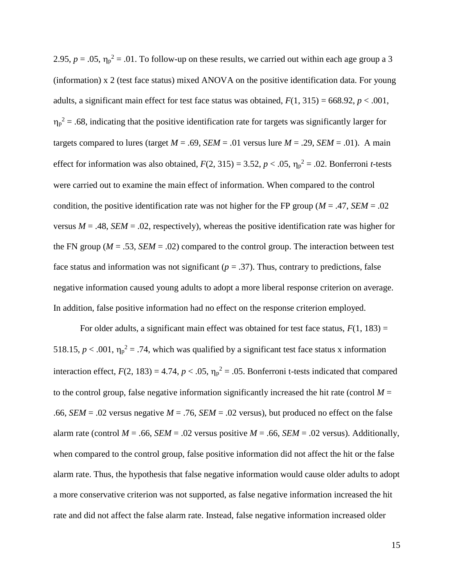2.95,  $p = .05$ ,  $\eta_p^2 = .01$ . To follow-up on these results, we carried out within each age group a 3 (information) x 2 (test face status) mixed ANOVA on the positive identification data. For young adults, a significant main effect for test face status was obtained,  $F(1, 315) = 668.92$ ,  $p < .001$ ,  $\eta_p^2$  = .68, indicating that the positive identification rate for targets was significantly larger for targets compared to lures (target  $M = .69$ , *SEM* = .01 versus lure  $M = .29$ , *SEM* = .01). A main effect for information was also obtained,  $F(2, 315) = 3.52$ ,  $p < .05$ ,  $\eta_p^2 = .02$ . Bonferroni *t*-tests were carried out to examine the main effect of information. When compared to the control condition, the positive identification rate was not higher for the FP group ( $M = .47$ , *SEM* = .02 versus  $M = .48$ , *SEM* = .02, respectively), whereas the positive identification rate was higher for the FN group ( $M = .53$ ,  $SEM = .02$ ) compared to the control group. The interaction between test face status and information was not significant ( $p = .37$ ). Thus, contrary to predictions, false negative information caused young adults to adopt a more liberal response criterion on average. In addition, false positive information had no effect on the response criterion employed.

For older adults, a significant main effect was obtained for test face status,  $F(1, 183) =$ 518.15,  $p < .001$ ,  $\eta_p^2 = .74$ , which was qualified by a significant test face status x information interaction effect,  $F(2, 183) = 4.74$ ,  $p < .05$ ,  $\eta_p^2 = .05$ . Bonferroni t-tests indicated that compared to the control group, false negative information significantly increased the hit rate (control  $M =$ .66, *SEM* = .02 versus negative  $M = .76$ , *SEM* = .02 versus), but produced no effect on the false alarm rate (control  $M = .66$ ,  $SEM = .02$  versus positive  $M = .66$ ,  $SEM = .02$  versus). Additionally, when compared to the control group, false positive information did not affect the hit or the false alarm rate. Thus, the hypothesis that false negative information would cause older adults to adopt a more conservative criterion was not supported, as false negative information increased the hit rate and did not affect the false alarm rate. Instead, false negative information increased older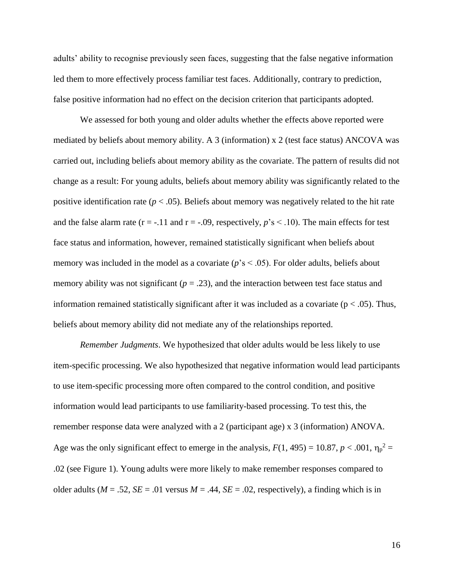adults' ability to recognise previously seen faces, suggesting that the false negative information led them to more effectively process familiar test faces. Additionally, contrary to prediction, false positive information had no effect on the decision criterion that participants adopted.

We assessed for both young and older adults whether the effects above reported were mediated by beliefs about memory ability. A 3 (information) x 2 (test face status) ANCOVA was carried out, including beliefs about memory ability as the covariate. The pattern of results did not change as a result: For young adults, beliefs about memory ability was significantly related to the positive identification rate ( $p < .05$ ). Beliefs about memory was negatively related to the hit rate and the false alarm rate ( $r = -.11$  and  $r = -.09$ , respectively,  $p's < .10$ ). The main effects for test face status and information, however, remained statistically significant when beliefs about memory was included in the model as a covariate  $(p's < .05)$ . For older adults, beliefs about memory ability was not significant  $(p = .23)$ , and the interaction between test face status and information remained statistically significant after it was included as a covariate ( $p < .05$ ). Thus, beliefs about memory ability did not mediate any of the relationships reported.

*Remember Judgments*. We hypothesized that older adults would be less likely to use item-specific processing. We also hypothesized that negative information would lead participants to use item-specific processing more often compared to the control condition, and positive information would lead participants to use familiarity-based processing. To test this, the remember response data were analyzed with a 2 (participant age) x 3 (information) ANOVA. Age was the only significant effect to emerge in the analysis,  $F(1, 495) = 10.87$ ,  $p < .001$ ,  $\eta_p^2 =$ .02 (see Figure 1). Young adults were more likely to make remember responses compared to older adults ( $M = .52$ ,  $SE = .01$  versus  $M = .44$ ,  $SE = .02$ , respectively), a finding which is in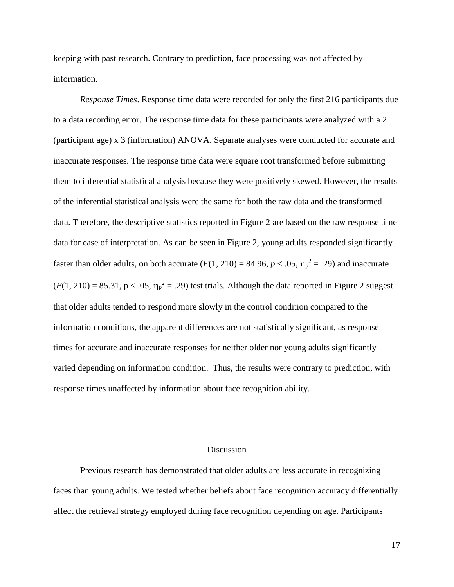keeping with past research. Contrary to prediction, face processing was not affected by information.

*Response Times*. Response time data were recorded for only the first 216 participants due to a data recording error. The response time data for these participants were analyzed with a 2 (participant age) x 3 (information) ANOVA. Separate analyses were conducted for accurate and inaccurate responses. The response time data were square root transformed before submitting them to inferential statistical analysis because they were positively skewed. However, the results of the inferential statistical analysis were the same for both the raw data and the transformed data. Therefore, the descriptive statistics reported in Figure 2 are based on the raw response time data for ease of interpretation. As can be seen in Figure 2, young adults responded significantly faster than older adults, on both accurate  $(F(1, 210) = 84.96, p < .05, \eta_p^2 = .29)$  and inaccurate  $(F(1, 210) = 85.31, p < .05, \eta_p^2 = .29)$  test trials. Although the data reported in Figure 2 suggest that older adults tended to respond more slowly in the control condition compared to the information conditions, the apparent differences are not statistically significant, as response times for accurate and inaccurate responses for neither older nor young adults significantly varied depending on information condition. Thus, the results were contrary to prediction, with response times unaffected by information about face recognition ability.

# **Discussion**

Previous research has demonstrated that older adults are less accurate in recognizing faces than young adults. We tested whether beliefs about face recognition accuracy differentially affect the retrieval strategy employed during face recognition depending on age. Participants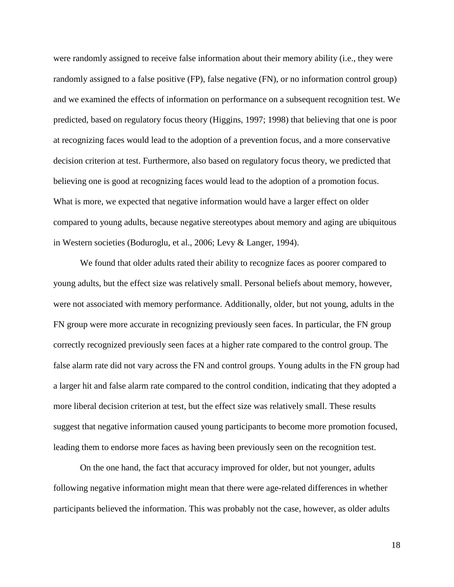were randomly assigned to receive false information about their memory ability (i.e., they were randomly assigned to a false positive (FP), false negative (FN), or no information control group) and we examined the effects of information on performance on a subsequent recognition test. We predicted, based on regulatory focus theory (Higgins, 1997; 1998) that believing that one is poor at recognizing faces would lead to the adoption of a prevention focus, and a more conservative decision criterion at test. Furthermore, also based on regulatory focus theory, we predicted that believing one is good at recognizing faces would lead to the adoption of a promotion focus. What is more, we expected that negative information would have a larger effect on older compared to young adults, because negative stereotypes about memory and aging are ubiquitous in Western societies (Boduroglu, et al., 2006; Levy & Langer, 1994).

We found that older adults rated their ability to recognize faces as poorer compared to young adults, but the effect size was relatively small. Personal beliefs about memory, however, were not associated with memory performance. Additionally, older, but not young, adults in the FN group were more accurate in recognizing previously seen faces. In particular, the FN group correctly recognized previously seen faces at a higher rate compared to the control group. The false alarm rate did not vary across the FN and control groups. Young adults in the FN group had a larger hit and false alarm rate compared to the control condition, indicating that they adopted a more liberal decision criterion at test, but the effect size was relatively small. These results suggest that negative information caused young participants to become more promotion focused, leading them to endorse more faces as having been previously seen on the recognition test.

On the one hand, the fact that accuracy improved for older, but not younger, adults following negative information might mean that there were age-related differences in whether participants believed the information. This was probably not the case, however, as older adults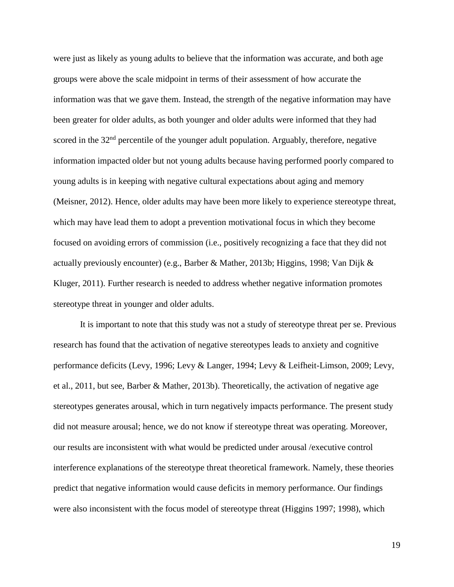were just as likely as young adults to believe that the information was accurate, and both age groups were above the scale midpoint in terms of their assessment of how accurate the information was that we gave them. Instead, the strength of the negative information may have been greater for older adults, as both younger and older adults were informed that they had scored in the  $32<sup>nd</sup>$  percentile of the younger adult population. Arguably, therefore, negative information impacted older but not young adults because having performed poorly compared to young adults is in keeping with negative cultural expectations about aging and memory (Meisner, 2012). Hence, older adults may have been more likely to experience stereotype threat, which may have lead them to adopt a prevention motivational focus in which they become focused on avoiding errors of commission (i.e., positively recognizing a face that they did not actually previously encounter) (e.g., Barber & Mather, 2013b; Higgins, 1998; Van Dijk & Kluger, 2011). Further research is needed to address whether negative information promotes stereotype threat in younger and older adults.

It is important to note that this study was not a study of stereotype threat per se. Previous research has found that the activation of negative stereotypes leads to anxiety and cognitive performance deficits [\(Levy, 1996; Levy & Langer, 1994; Levy & Leifheit-Limson, 2009; Levy,](http://psychsocgerontology.oxfordjournals.org/content/early/2012/04/06/geronb.gbs037.full#ref-6)  [et al., 2011, but see, Barber &](http://psychsocgerontology.oxfordjournals.org/content/early/2012/04/06/geronb.gbs037.full#ref-6) Mather, 2013b). Theoretically, the activation of negative age stereotypes generates arousal, which in turn negatively impacts performance. The present study did not measure arousal; hence, we do not know if stereotype threat was operating. Moreover, our results are inconsistent with what would be predicted under arousal /executive control interference explanations of the stereotype threat theoretical framework. Namely, these theories predict that negative information would cause deficits in memory performance. Our findings were also inconsistent with the focus model of stereotype threat (Higgins 1997; 1998), which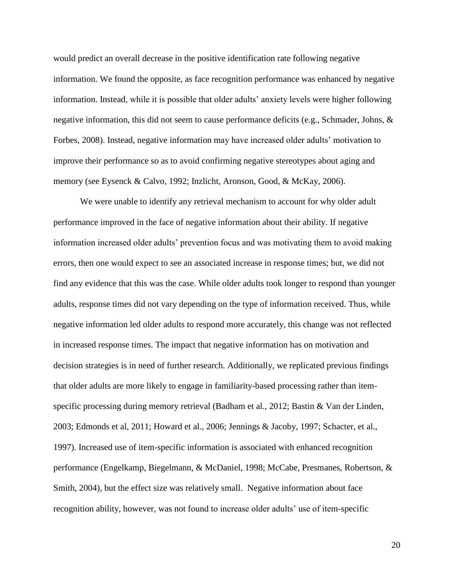would predict an overall decrease in the positive identification rate following negative information. We found the opposite, as face recognition performance was enhanced by negative information. Instead, while it is possible that older adults' anxiety levels were higher following negative information, this did not seem to cause performance deficits (e.g., Schmader, Johns, & Forbes, 2008). Instead, negative information may have increased older adults' motivation to improve their performance so as to avoid confirming negative stereotypes about aging and memory (see Eysenck & Calvo, 1992; Inzlicht, Aronson, Good, & McKay, 2006).

We were unable to identify any retrieval mechanism to account for why older adult performance improved in the face of negative information about their ability. If negative information increased older adults' prevention focus and was motivating them to avoid making errors, then one would expect to see an associated increase in response times; but, we did not find any evidence that this was the case. While older adults took longer to respond than younger adults, response times did not vary depending on the type of information received. Thus, while negative information led older adults to respond more accurately, this change was not reflected in increased response times. The impact that negative information has on motivation and decision strategies is in need of further research. Additionally, we replicated previous findings that older adults are more likely to engage in familiarity-based processing rather than itemspecific processing during memory retrieval (Badham et al., 2012; Bastin & Van der Linden, 2003; Edmonds et al, 2011; Howard et al., 2006; Jennings & Jacoby, 1997; Schacter, et al., 1997). Increased use of item-specific information is associated with enhanced recognition performance (Engelkamp, Biegelmann, & McDaniel, 1998; McCabe, Presmanes, Robertson, & Smith, 2004), but the effect size was relatively small. Negative information about face recognition ability, however, was not found to increase older adults' use of item-specific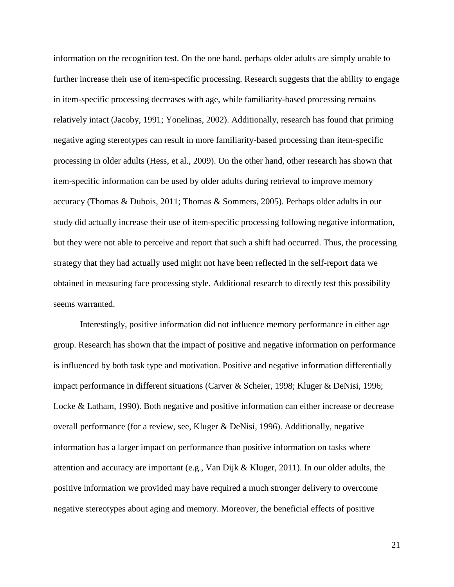information on the recognition test. On the one hand, perhaps older adults are simply unable to further increase their use of item-specific processing. Research suggests that the ability to engage in item-specific processing decreases with age, while familiarity-based processing remains relatively intact (Jacoby, 1991; Yonelinas, 2002). Additionally, research has found that priming negative aging stereotypes can result in more familiarity-based processing than item-specific processing in older adults (Hess, et al., 2009). On the other hand, other research has shown that item-specific information can be used by older adults during retrieval to improve memory accuracy (Thomas & Dubois, 2011; Thomas & Sommers, 2005). Perhaps older adults in our study did actually increase their use of item-specific processing following negative information, but they were not able to perceive and report that such a shift had occurred. Thus, the processing strategy that they had actually used might not have been reflected in the self-report data we obtained in measuring face processing style. Additional research to directly test this possibility seems warranted.

Interestingly, positive information did not influence memory performance in either age group. Research has shown that the impact of positive and negative information on performance is influenced by both task type and motivation. Positive and negative information differentially impact performance in different situations (Carver & Scheier, 1998; Kluger & DeNisi, 1996; Locke & Latham, 1990). Both negative and positive information can either increase or decrease overall performance (for a review, see, Kluger & DeNisi, 1996). Additionally, negative information has a larger impact on performance than positive information on tasks where attention and accuracy are important (e.g., Van Dijk & Kluger, 2011). In our older adults, the positive information we provided may have required a much stronger delivery to overcome negative stereotypes about aging and memory. Moreover, the beneficial effects of positive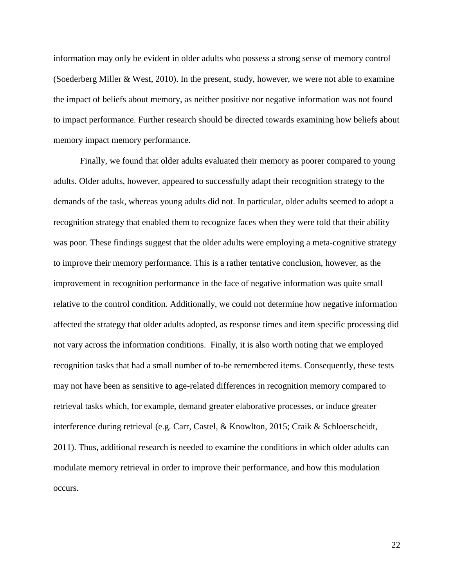information may only be evident in older adults who possess a strong sense of memory control (Soederberg Miller & West, 2010). In the present, study, however, we were not able to examine the impact of beliefs about memory, as neither positive nor negative information was not found to impact performance. Further research should be directed towards examining how beliefs about memory impact memory performance.

Finally, we found that older adults evaluated their memory as poorer compared to young adults. Older adults, however, appeared to successfully adapt their recognition strategy to the demands of the task, whereas young adults did not. In particular, older adults seemed to adopt a recognition strategy that enabled them to recognize faces when they were told that their ability was poor. These findings suggest that the older adults were employing a meta-cognitive strategy to improve their memory performance. This is a rather tentative conclusion, however, as the improvement in recognition performance in the face of negative information was quite small relative to the control condition. Additionally, we could not determine how negative information affected the strategy that older adults adopted, as response times and item specific processing did not vary across the information conditions. Finally, it is also worth noting that we employed recognition tasks that had a small number of to-be remembered items. Consequently, these tests may not have been as sensitive to age-related differences in recognition memory compared to retrieval tasks which, for example, demand greater elaborative processes, or induce greater interference during retrieval (e.g. Carr, Castel, & Knowlton, 2015; Craik & Schloerscheidt, 2011). Thus, additional research is needed to examine the conditions in which older adults can modulate memory retrieval in order to improve their performance, and how this modulation occurs.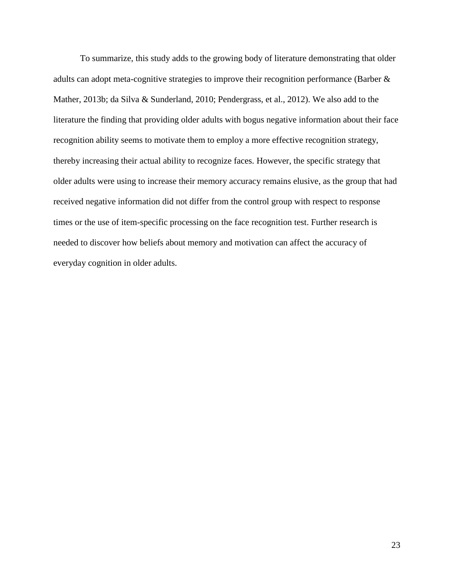To summarize, this study adds to the growing body of literature demonstrating that older adults can adopt meta-cognitive strategies to improve their recognition performance (Barber & Mather, 2013b; da Silva & Sunderland, 2010; Pendergrass, et al., 2012). We also add to the literature the finding that providing older adults with bogus negative information about their face recognition ability seems to motivate them to employ a more effective recognition strategy, thereby increasing their actual ability to recognize faces. However, the specific strategy that older adults were using to increase their memory accuracy remains elusive, as the group that had received negative information did not differ from the control group with respect to response times or the use of item-specific processing on the face recognition test. Further research is needed to discover how beliefs about memory and motivation can affect the accuracy of everyday cognition in older adults.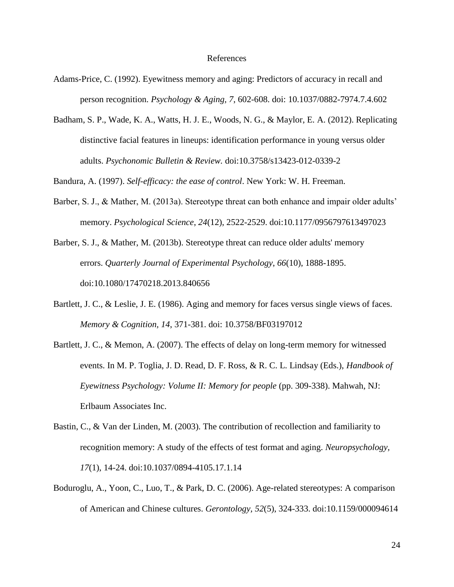#### References

- Adams-Price, C. (1992). Eyewitness memory and aging: Predictors of accuracy in recall and person recognition. *Psychology & Aging, 7*, 602-608. doi: 10.1037/0882-7974.7.4.602
- Badham, S. P., Wade, K. A., Watts, H. J. E., Woods, N. G., & Maylor, E. A. (2012). Replicating distinctive facial features in lineups: identification performance in young versus older adults. *Psychonomic Bulletin & Review.* doi:10.3758/s13423-012-0339-2

Bandura, A. (1997). *Self-efficacy: the ease of control*. New York: W. H. Freeman.

- Barber, S. J., & Mather, M. (2013a). Stereotype threat can both enhance and impair older adults' memory. *Psychological Science*, *24*(12), 2522-2529. doi:10.1177/0956797613497023
- Barber, S. J., & Mather, M. (2013b). Stereotype threat can reduce older adults' memory errors. *Quarterly Journal of Experimental Psychology*, *66*(10), 1888-1895. doi:10.1080/17470218.2013.840656
- Bartlett, J. C., & Leslie, J. E. (1986). Aging and memory for faces versus single views of faces. *Memory & Cognition, 14*, 371-381. doi: 10.3758/BF03197012
- Bartlett, J. C., & Memon, A. (2007). The effects of delay on long-term memory for witnessed events. In M. P. Toglia, J. D. Read, D. F. Ross, & R. C. L. Lindsay (Eds.), *Handbook of Eyewitness Psychology: Volume II: Memory for people* (pp. 309-338). Mahwah, NJ: Erlbaum Associates Inc.
- Bastin, C., & Van der Linden, M. (2003). The contribution of recollection and familiarity to recognition memory: A study of the effects of test format and aging. *Neuropsychology, 17*(1), 14-24. doi:10.1037/0894-4105.17.1.14
- Boduroglu, A., Yoon, C., Luo, T., & Park, D. C. (2006). Age-related stereotypes: A comparison of American and Chinese cultures. *Gerontology, 52*(5), 324-333. doi:10.1159/000094614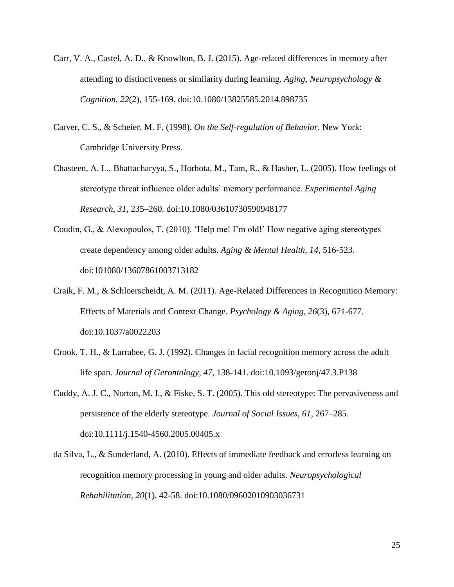- Carr, V. A., Castel, A. D., & Knowlton, B. J. (2015). Age-related differences in memory after attending to distinctiveness or similarity during learning. *Aging, Neuropsychology & Cognition*, *22*(2), 155-169. doi:10.1080/13825585.2014.898735
- Carver, C. S., & Scheier, M. F. (1998). *On the Self-regulation of Behavior*. New York: Cambridge University Press.
- Chasteen, A. L., Bhattacharyya, S., Horhota, M., Tam, R., & Hasher, L. (2005). How feelings of stereotype threat influence older adults' memory performance. *Experimental Aging Research, 31*, 235–260. doi:10.1080/03610730590948177
- Coudin, G., & Alexopoulos, T. (2010). 'Help me! I'm old!' How negative aging stereotypes create dependency among older adults. *Aging & Mental Health, 14*, 516-523. doi:101080/13607861003713182
- Craik, F. M., & Schloerscheidt, A. M. (2011). Age-Related Differences in Recognition Memory: Effects of Materials and Context Change. *Psychology & Aging*, *26*(3), 671-677. doi:10.1037/a0022203
- Crook, T. H., & Larrabee, G. J. (1992). Changes in facial recognition memory across the adult life span. *Journal of Gerontology, 47*, 138-141. doi:10.1093/geronj/47.3.P138
- Cuddy, A. J. C., Norton, M. I., & Fiske, S. T. (2005). This old stereotype: The pervasiveness and persistence of the elderly stereotype. *Journal of Social Issues, 61*, 267–285. doi:10.1111/j.1540-4560.2005.00405.x
- da Silva, L., & Sunderland, A. (2010). Effects of immediate feedback and errorless learning on recognition memory processing in young and older adults. *Neuropsychological Rehabilitation, 20*(1), 42-58. doi:10.1080/09602010903036731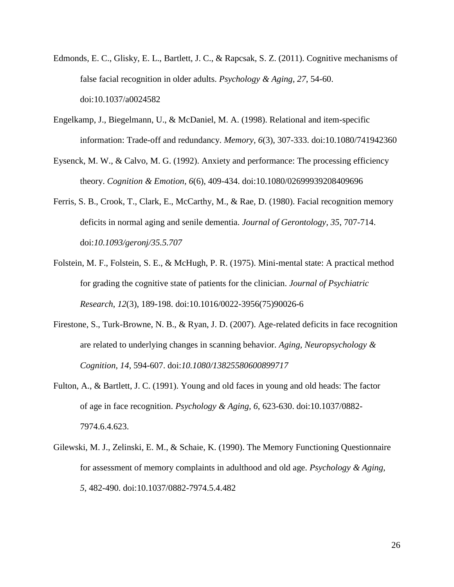- Edmonds, E. C., Glisky, E. L., Bartlett, J. C., & Rapcsak, S. Z. (2011). Cognitive mechanisms of false facial recognition in older adults. *Psychology & Aging, 27*, 54-60. doi:10.1037/a0024582
- Engelkamp, J., Biegelmann, U., & McDaniel, M. A. (1998). Relational and item-specific information: Trade-off and redundancy. *Memory, 6*(3), 307-333. doi:10.1080/741942360
- Eysenck, M. W., & Calvo, M. G. (1992). Anxiety and performance: The processing efficiency theory. *Cognition & Emotion, 6*(6), 409-434. doi:10.1080/02699939208409696
- Ferris, S. B., Crook, T., Clark, E., McCarthy, M., & Rae, D. (1980). Facial recognition memory deficits in normal aging and senile dementia. *Journal of Gerontology, 35*, 707-714. doi:*10.1093/geronj/35.5.707*
- Folstein, M. F., Folstein, S. E., & McHugh, P. R. (1975). Mini-mental state: A practical method for grading the cognitive state of patients for the clinician. *Journal of Psychiatric Research*, *12*(3), 189-198. doi:10.1016/0022-3956(75)90026-6
- Firestone, S., Turk-Browne, N. B., & Ryan, J. D. (2007). Age-related deficits in face recognition are related to underlying changes in scanning behavior. *Aging, Neuropsychology & Cognition, 14*, 594-607. doi:*10.1080/13825580600899717*
- Fulton, A., & Bartlett, J. C. (1991). Young and old faces in young and old heads: The factor of age in face recognition. *Psychology & Aging, 6*, 623-630. doi:10.1037/0882- 7974.6.4.623.
- Gilewski, M. J., Zelinski, E. M., & Schaie, K. (1990). The Memory Functioning Questionnaire for assessment of memory complaints in adulthood and old age. *Psychology & Aging, 5*, 482-490. doi:10.1037/0882-7974.5.4.482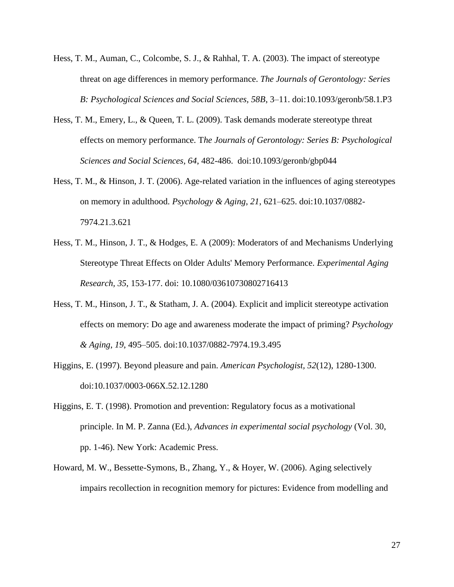- Hess, T. M., Auman, C., Colcombe, S. J., & Rahhal, T. A. (2003). The impact of stereotype threat on age differences in memory performance. *The Journals of Gerontology: Series B: Psychological Sciences and Social Sciences, 58B*, 3–11. doi:10.1093/geronb/58.1.P3
- Hess, T. M., Emery, L., & Queen, T. L. (2009). Task demands moderate stereotype threat effects on memory performance. T*he Journals of Gerontology: Series B: Psychological Sciences and Social Sciences, 64*, 482-486. doi:10.1093/geronb/gbp044
- Hess, T. M., & Hinson, J. T. (2006). Age-related variation in the influences of aging stereotypes on memory in adulthood. *Psychology & Aging*, *21*, 621–625. doi:10.1037/0882- 7974.21.3.621
- Hess, T. M., Hinson, J. T., & Hodges, E. A (2009): Moderators of and Mechanisms Underlying Stereotype Threat Effects on Older Adults' Memory Performance. *Experimental Aging Research, 35*, 153-177. doi: 10.1080/03610730802716413
- Hess, T. M., Hinson, J. T., & Statham, J. A. (2004). Explicit and implicit stereotype activation effects on memory: Do age and awareness moderate the impact of priming? *Psychology & Aging*, *19*, 495–505. doi:10.1037/0882-7974.19.3.495
- Higgins, E. (1997). Beyond pleasure and pain. *American Psychologist, 52*(12), 1280-1300. doi:10.1037/0003-066X.52.12.1280
- Higgins, E. T. (1998). Promotion and prevention: Regulatory focus as a motivational principle. In M. P. Zanna (Ed.), *Advances in experimental social psychology* (Vol. 30, pp. 1-46). New York: Academic Press.
- Howard, M. W., Bessette-Symons, B., Zhang, Y., & Hoyer, W. (2006). Aging selectively impairs recollection in recognition memory for pictures: Evidence from modelling and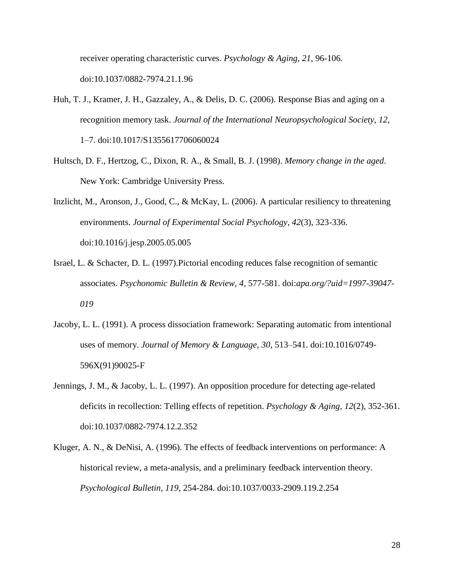receiver operating characteristic curves. *Psychology & Aging, 21*, 96-106. doi[:10.1037/0882-7974.21.1.96](javascript:__doLinkPostBack()

- Huh, T. J., Kramer, J. H., Gazzaley, A., & Delis, D. C. (2006). Response Bias and aging on a recognition memory task. *Journal of the International Neuropsychological Society, 12*, 1–7. doi:10.1017/S1355617706060024
- Hultsch, D. F., Hertzog, C., Dixon, R. A., & Small, B. J. (1998). *Memory change in the aged*. New York: Cambridge University Press.
- Inzlicht, M., Aronson, J., Good, C., & McKay, L. (2006). A particular resiliency to threatening environments. *Journal of Experimental Social Psychology, 42*(3), 323-336. doi:10.1016/j.jesp.2005.05.005
- Israel, L. & Schacter, D. L. (1997).Pictorial encoding reduces false recognition of semantic associates. *Psychonomic Bulletin & Review, 4*, 577-581. doi:*apa.org/?uid=1997-39047- 019*
- Jacoby, L. L. (1991). A process dissociation framework: Separating automatic from intentional uses of memory. *Journal of Memory & Language, 30*, 513–541. doi:10.1016/0749- 596X(91)90025-F
- Jennings, J. M., & Jacoby, L. L. (1997). An opposition procedure for detecting age-related deficits in recollection: Telling effects of repetition. *Psychology & Aging, 12*(2), 352-361. doi:10.1037/0882-7974.12.2.352
- Kluger, A. N., & DeNisi, A. (1996). The effects of feedback interventions on performance: A historical review, a meta-analysis, and a preliminary feedback intervention theory. *Psychological Bulletin, 119*, 254-284. doi:10.1037/0033-2909.119.2.254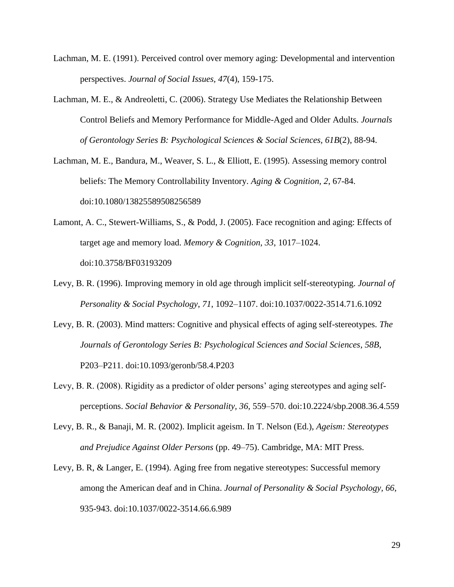- Lachman, M. E. (1991). Perceived control over memory aging: Developmental and intervention perspectives. *Journal of Social Issues, 47*(4), 159-175.
- Lachman, M. E., & Andreoletti, C. (2006). Strategy Use Mediates the Relationship Between Control Beliefs and Memory Performance for Middle-Aged and Older Adults. *Journals of Gerontology Series B: Psychological Sciences & Social Sciences, 61B*(2), 88-94.
- Lachman, M. E., Bandura, M., Weaver, S. L., & Elliott, E. (1995). Assessing memory control beliefs: The Memory Controllability Inventory. *Aging & Cognition, 2*, 67-84. doi:10.1080/13825589508256589
- Lamont, A. C., Stewert-Williams, S., & Podd, J. (2005). Face recognition and aging: Effects of target age and memory load. *Memory & Cognition, 33*, 1017–1024. doi:10.3758/BF03193209
- Levy, B. R. (1996). Improving memory in old age through implicit self-stereotyping. *Journal of Personality & Social Psychology*, *71*, 1092–1107. doi:10.1037/0022-3514.71.6.1092
- Levy, B. R. (2003). Mind matters: Cognitive and physical effects of aging self-stereotypes. *The Journals of Gerontology Series B: Psychological Sciences and Social Sciences*, *58B*, P203–P211. doi:10.1093/geronb/58.4.P203
- Levy, B. R. (2008). Rigidity as a predictor of older persons' aging stereotypes and aging selfperceptions. *Social Behavior & Personality, 36*, 559–570. doi:10.2224/sbp.2008.36.4.559
- Levy, B. R., & Banaji, M. R. (2002). Implicit ageism. In T. Nelson (Ed.), *Ageism: Stereotypes and Prejudice Against Older Persons* (pp. 49–75). Cambridge, MA: MIT Press.
- Levy, B. R, & Langer, E. (1994). Aging free from negative stereotypes: Successful memory among the American deaf and in China. *Journal of Personality & Social Psychology, 66*, 935-943. doi:10.1037/0022-3514.66.6.989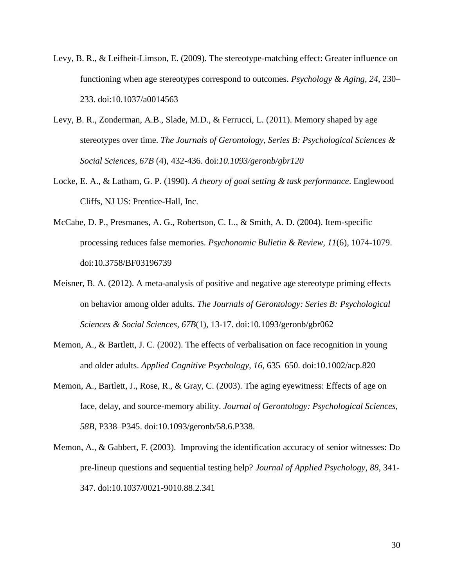- Levy, B. R., & Leifheit-Limson, E. (2009). The stereotype-matching effect: Greater influence on functioning when age stereotypes correspond to outcomes. *Psychology & Aging*, *24*, 230– 233. doi:10.1037/a0014563
- Levy, B. R., Zonderman, A.B., Slade, M.D., & Ferrucci, L. (2011). Memory shaped by age stereotypes over time. *The Journals of Gerontology, Series B: Psychological Sciences & Social Sciences, 67B* (4), 432-436. doi:*10.1093/geronb/gbr120*
- Locke, E. A., & Latham, G. P. (1990). *A theory of goal setting & task performance*. Englewood Cliffs, NJ US: Prentice-Hall, Inc.
- McCabe, D. P., Presmanes, A. G., Robertson, C. L., & Smith, A. D. (2004). Item-specific processing reduces false memories. *Psychonomic Bulletin & Review, 11*(6), 1074-1079. doi:10.3758/BF03196739
- Meisner, B. A. (2012). A meta-analysis of positive and negative age stereotype priming effects on behavior among older adults. *The Journals of Gerontology: Series B: Psychological Sciences & Social Sciences*, *67B*(1), 13-17. doi:10.1093/geronb/gbr062
- Memon, A., & Bartlett, J. C. (2002). The effects of verbalisation on face recognition in young and older adults. *Applied Cognitive Psychology, 16*, 635–650. doi:10.1002/acp.820
- Memon, A., Bartlett, J., Rose, R., & Gray, C. (2003). The aging eyewitness: Effects of age on face, delay, and source-memory ability. *Journal of Gerontology: Psychological Sciences, 58B*, P338–P345. doi:10.1093/geronb/58.6.P338.
- Memon, A., & Gabbert, F. (2003). Improving the identification accuracy of senior witnesses: Do pre-lineup questions and sequential testing help? *Journal of Applied Psychology, 88*, 341- 347. doi:10.1037/0021-9010.88.2.341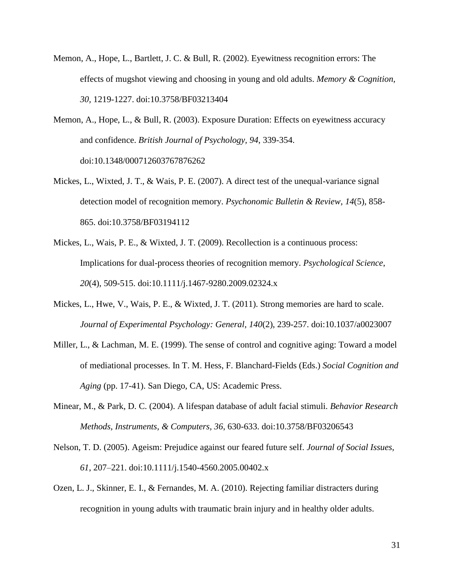- Memon, A., Hope, L., Bartlett, J. C. & Bull, R. (2002). Eyewitness recognition errors: The effects of mugshot viewing and choosing in young and old adults. *Memory & Cognition, 30,* 1219-1227. doi:10.3758/BF03213404
- Memon, A., Hope, L., & Bull, R. (2003). Exposure Duration: Effects on eyewitness accuracy and confidence. *British Journal of Psychology, 94,* 339-354. doi:10.1348/000712603767876262
- Mickes, L., Wixted, J. T., & Wais, P. E. (2007). A direct test of the unequal-variance signal detection model of recognition memory. *Psychonomic Bulletin & Review*, *14*(5), 858- 865. doi:10.3758/BF03194112
- Mickes, L., Wais, P. E., & Wixted, J. T. (2009). Recollection is a continuous process: Implications for dual-process theories of recognition memory. *Psychological Science*, *20*(4), 509-515. doi:10.1111/j.1467-9280.2009.02324.x
- Mickes, L., Hwe, V., Wais, P. E., & Wixted, J. T. (2011). Strong memories are hard to scale. *Journal of Experimental Psychology: General*, *140*(2), 239-257. doi:10.1037/a0023007
- Miller, L., & Lachman, M. E. (1999). The sense of control and cognitive aging: Toward a model of mediational processes. In T. M. Hess, F. Blanchard-Fields (Eds.) *Social Cognition and Aging* (pp. 17-41). San Diego, CA, US: Academic Press.
- Minear, M., & Park, D. C. (2004). A lifespan database of adult facial stimuli. *Behavior Research Methods, Instruments, & Computers, 36*, 630-633. doi:10.3758/BF03206543
- Nelson, T. D. (2005). Ageism: Prejudice against our feared future self. *Journal of Social Issues, 61*, 207–221. doi:10.1111/j.1540-4560.2005.00402.x
- Ozen, L. J., Skinner, E. I., & Fernandes, M. A. (2010). Rejecting familiar distracters during recognition in young adults with traumatic brain injury and in healthy older adults.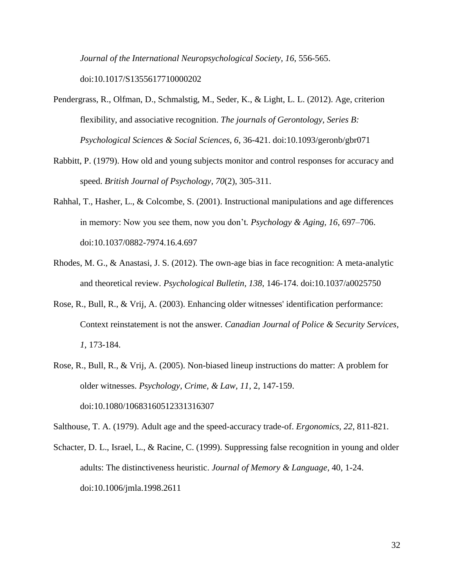*Journal of the International Neuropsychological Society, 16*, 556-565. doi:10.1017/S1355617710000202

Pendergrass, R., Olfman, D., Schmalstig, M., Seder, K., & Light, L. L. (2012). Age, criterion flexibility, and associative recognition. *The journals of Gerontology, Series B: Psychological Sciences & Social Sciences, 6*, 36-421. doi:10.1093/geronb/gbr071

- Rabbitt, P. (1979). How old and young subjects monitor and control responses for accuracy and speed. *British Journal of Psychology, 70*(2), 305-311.
- Rahhal, T., Hasher, L., & Colcombe, S. (2001). Instructional manipulations and age differences in memory: Now you see them, now you don't*. Psychology & Aging, 16*, 697–706. doi:10.1037/0882-7974.16.4.697
- Rhodes, M. G., & Anastasi, J. S. (2012). The own-age bias in face recognition: A meta-analytic and theoretical review. *Psychological Bulletin, 138*, 146-174. doi:10.1037/a0025750
- Rose, R., Bull, R., & Vrij, A. (2003). Enhancing older witnesses' identification performance: Context reinstatement is not the answer*. Canadian Journal of Police & Security Services, 1*, 173-184.
- Rose, R., Bull, R., & Vrij, A. (2005). Non-biased lineup instructions do matter: A problem for older witnesses. *Psychology, Crime, & Law, 11*, 2, 147-159. doi:10.1080/10683160512331316307

Salthouse, T. A. (1979). Adult age and the speed-accuracy trade-of. *Ergonomics, 22*, 811-821.

Schacter, D. L., Israel, L., & Racine, C. (1999). Suppressing false recognition in young and older adults: The distinctiveness heuristic. *Journal of Memory & Language*, 40, 1-24. doi:10.1006/jmla.1998.2611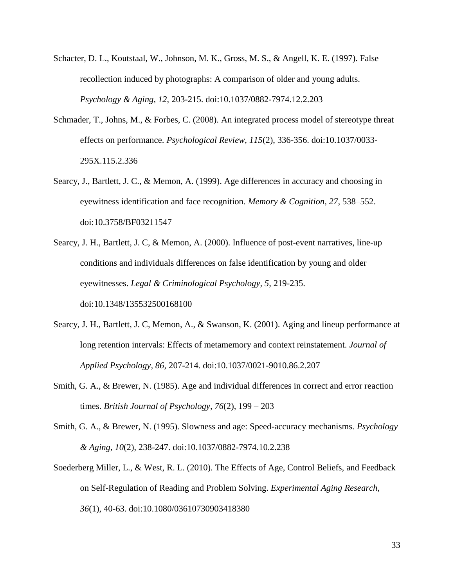- Schacter, D. L., Koutstaal, W., Johnson, M. K., Gross, M. S., & Angell, K. E. (1997). False recollection induced by photographs: A comparison of older and young adults. *Psychology & Aging, 12*, 203-215. doi:10.1037/0882-7974.12.2.203
- Schmader, T., Johns, M., & Forbes, C. (2008). An integrated process model of stereotype threat effects on performance. *Psychological Review, 115*(2), 336-356. doi:10.1037/0033- 295X.115.2.336
- Searcy, J., Bartlett, J. C., & Memon, A. (1999). Age differences in accuracy and choosing in eyewitness identification and face recognition. *Memory & Cognition, 27*, 538–552. doi:10.3758/BF03211547
- Searcy, J. H., Bartlett, J. C, & Memon, A. (2000). Influence of post-event narratives, line-up conditions and individuals differences on false identification by young and older eyewitnesses. *Legal & Criminological Psychology, 5,* 219-235. doi:10.1348/135532500168100
- Searcy, J. H., Bartlett, J. C, Memon, A., & Swanson, K. (2001). Aging and lineup performance at long retention intervals: Effects of metamemory and context reinstatement. *Journal of Applied Psychology, 86,* 207-214. doi:10.1037/0021-9010.86.2.207
- Smith, G. A., & Brewer, N. (1985). Age and individual differences in correct and error reaction times. *British Journal of Psychology, 76*(2), 199 – 203
- Smith, G. A., & Brewer, N. (1995). Slowness and age: Speed-accuracy mechanisms. *Psychology & Aging, 10*(2), 238-247. doi:10.1037/0882-7974.10.2.238
- Soederberg Miller, L., & West, R. L. (2010). The Effects of Age, Control Beliefs, and Feedback on Self-Regulation of Reading and Problem Solving. *Experimental Aging Research, 36*(1), 40-63. doi:10.1080/03610730903418380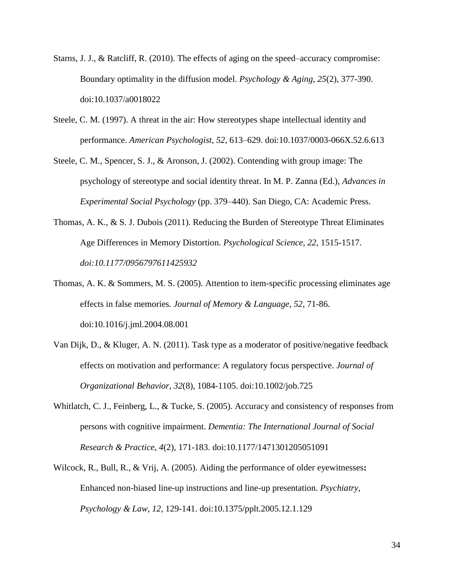- Starns, J. J., & Ratcliff, R. (2010). The effects of aging on the speed–accuracy compromise: Boundary optimality in the diffusion model. *Psychology & Aging, 25*(2), 377-390. doi:10.1037/a0018022
- Steele, C. M. (1997). A threat in the air: How stereotypes shape intellectual identity and performance. *American Psychologist*, *52*, 613–629. doi:10.1037/0003-066X.52.6.613
- Steele, C. M., Spencer, S. J., & Aronson, J. (2002). Contending with group image: The psychology of stereotype and social identity threat. In M. P. Zanna (Ed.), *Advances in Experimental Social Psychology* (pp. 379–440). San Diego, CA: Academic Press.
- Thomas, A. K., & S. J. Dubois (2011). Reducing the Burden of Stereotype Threat Eliminates Age Differences in Memory Distortion. *Psychological Science, 22*, 1515-1517. *doi:10.1177/0956797611425932*
- Thomas, A. K. & Sommers, M. S. (2005). Attention to item-specific processing eliminates age effects in false memories. *Journal of Memory & Language, 52*, 71-86. doi:10.1016/j.jml.2004.08.001
- Van Dijk, D., & Kluger, A. N. (2011). Task type as a moderator of positive/negative feedback effects on motivation and performance: A regulatory focus perspective. *Journal of Organizational Behavior*, *32*(8), 1084-1105. doi:10.1002/job.725
- Whitlatch, C. J., Feinberg, L., & Tucke, S. (2005). Accuracy and consistency of responses from persons with cognitive impairment. *Dementia: The International Journal of Social Research & Practice*, *4*(2), 171-183. doi:10.1177/1471301205051091
- Wilcock, R., Bull, R., & Vrij, A. (2005). Aiding the performance of older eyewitnesses**:** Enhanced non-biased line-up instructions and line-up presentation. *Psychiatry, Psychology & Law, 12*, 129-141. doi:10.1375/pplt.2005.12.1.129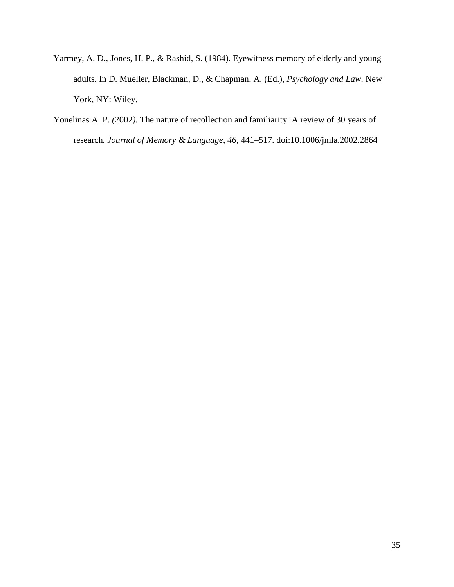- Yarmey, A. D., Jones, H. P., & Rashid, S. (1984). Eyewitness memory of elderly and young adults. In D. Mueller, Blackman, D., & Chapman, A. (Ed.), *Psychology and Law*. New York, NY: Wiley.
- Yonelinas A. P. *(*2002*).* The nature of recollection and familiarity: A review of 30 years of research*. Journal of Memory & Language, 46,* 441*–*517. doi:10.1006/jmla.2002.2864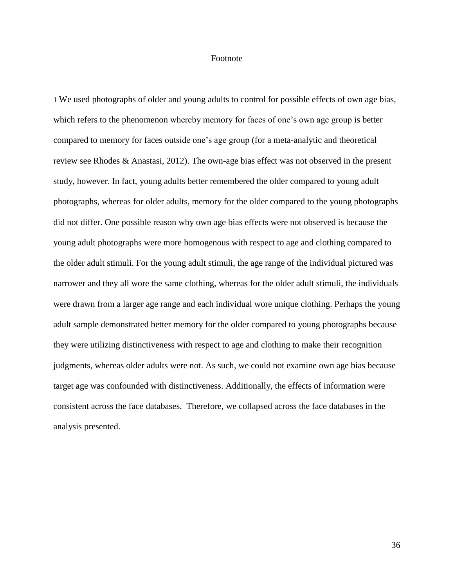## Footnote

1 We used photographs of older and young adults to control for possible effects of own age bias, which refers to the phenomenon whereby memory for faces of one's own age group is better compared to memory for faces outside one's age group (for a meta-analytic and theoretical review see Rhodes & Anastasi, 2012). The own-age bias effect was not observed in the present study, however. In fact, young adults better remembered the older compared to young adult photographs, whereas for older adults, memory for the older compared to the young photographs did not differ. One possible reason why own age bias effects were not observed is because the young adult photographs were more homogenous with respect to age and clothing compared to the older adult stimuli. For the young adult stimuli, the age range of the individual pictured was narrower and they all wore the same clothing, whereas for the older adult stimuli, the individuals were drawn from a larger age range and each individual wore unique clothing. Perhaps the young adult sample demonstrated better memory for the older compared to young photographs because they were utilizing distinctiveness with respect to age and clothing to make their recognition judgments, whereas older adults were not. As such, we could not examine own age bias because target age was confounded with distinctiveness. Additionally, the effects of information were consistent across the face databases. Therefore, we collapsed across the face databases in the analysis presented.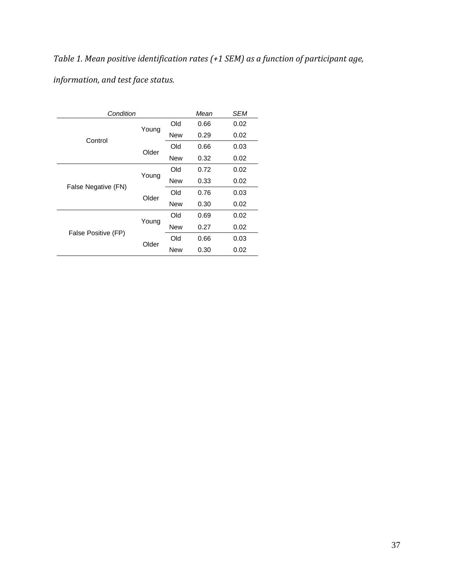*Table 1. Mean positive identification rates (+1 SEM) as a function of participant age,* 

*information, and test face status.*

| Condition           |       | Mean       | <b>SEM</b> |      |
|---------------------|-------|------------|------------|------|
| Control             | Young | Old        | 0.66       | 0.02 |
|                     |       | New        | 0.29       | 0.02 |
|                     | Older | Old        | 0.66       | 0.03 |
|                     |       | New        | 0.32       | 0.02 |
| False Negative (FN) | Young | Old        | 0.72       | 0.02 |
|                     |       | <b>New</b> | 0.33       | 0.02 |
|                     | Older | Old        | 0.76       | 0.03 |
|                     |       | <b>New</b> | 0.30       | 0.02 |
| False Positive (FP) | Young | Old        | 0.69       | 0.02 |
|                     |       | New        | 0.27       | 0.02 |
|                     | Older | Old        | 0.66       | 0.03 |
|                     |       | <b>New</b> | 0.30       | 0.02 |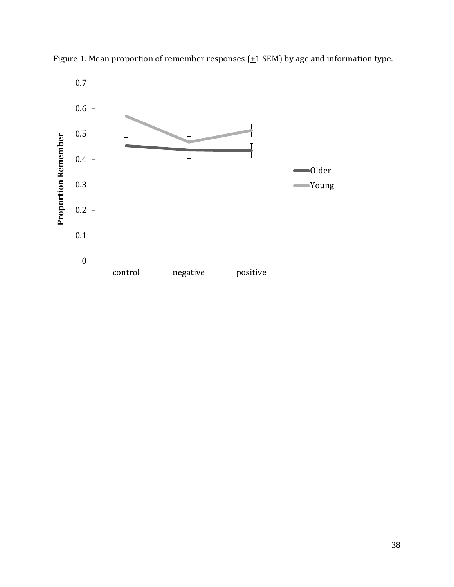

Figure 1. Mean proportion of remember responses  $(\pm 1$  SEM) by age and information type.